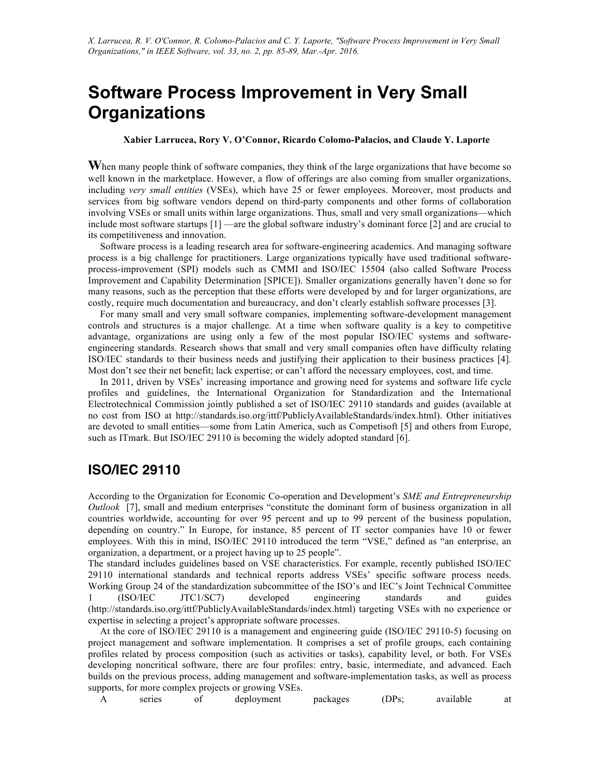# **Software Process Improvement in Very Small Organizations**

#### **Xabier Larrucea, Rory V. O'Connor, Ricardo Colomo-Palacios, and Claude Y. Laporte**

**W**hen many people think of software companies, they think of the large organizations that have become so well known in the marketplace. However, a flow of offerings are also coming from smaller organizations, including *very small entities* (VSEs), which have 25 or fewer employees. Moreover, most products and services from big software vendors depend on third-party components and other forms of collaboration involving VSEs or small units within large organizations. Thus, small and very small organizations—which include most software startups [1] —are the global software industry's dominant force [2] and are crucial to its competitiveness and innovation.

Software process is a leading research area for software-engineering academics. And managing software process is a big challenge for practitioners. Large organizations typically have used traditional softwareprocess-improvement (SPI) models such as CMMI and ISO/IEC 15504 (also called Software Process Improvement and Capability Determination [SPICE]). Smaller organizations generally haven't done so for many reasons, such as the perception that these efforts were developed by and for larger organizations, are costly, require much documentation and bureaucracy, and don't clearly establish software processes [3].

For many small and very small software companies, implementing software-development management controls and structures is a major challenge. At a time when software quality is a key to competitive advantage, organizations are using only a few of the most popular ISO/IEC systems and softwareengineering standards. Research shows that small and very small companies often have difficulty relating ISO/IEC standards to their business needs and justifying their application to their business practices [4]. Most don't see their net benefit; lack expertise; or can't afford the necessary employees, cost, and time.

In 2011, driven by VSEs' increasing importance and growing need for systems and software life cycle profiles and guidelines, the International Organization for Standardization and the International Electrotechnical Commission jointly published a set of ISO/IEC 29110 standards and guides (available at no cost from ISO at http://standards.iso.org/ittf/PubliclyAvailableStandards/index.html). Other initiatives are devoted to small entities—some from Latin America, such as Competisoft [5] and others from Europe, such as ITmark. But ISO/IEC 29110 is becoming the widely adopted standard [6].

#### **ISO/IEC 29110**

According to the Organization for Economic Co-operation and Development's *SME and Entrepreneurship Outlook* [7], small and medium enterprises "constitute the dominant form of business organization in all countries worldwide, accounting for over 95 percent and up to 99 percent of the business population, depending on country." In Europe, for instance, 85 percent of IT sector companies have 10 or fewer employees. With this in mind, ISO/IEC 29110 introduced the term "VSE," defined as "an enterprise, an organization, a department, or a project having up to 25 people".

The standard includes guidelines based on VSE characteristics. For example, recently published ISO/IEC 29110 international standards and technical reports address VSEs' specific software process needs. Working Group 24 of the standardization subcommittee of the ISO's and IEC's Joint Technical Committee 1 (ISO/IEC JTC1/SC7) developed engineering standards and guides (http://standards.iso.org/ittf/PubliclyAvailableStandards/index.html) targeting VSEs with no experience or expertise in selecting a project's appropriate software processes.

At the core of ISO/IEC 29110 is a management and engineering guide (ISO/IEC 29110-5) focusing on project management and software implementation. It comprises a set of profile groups, each containing profiles related by process composition (such as activities or tasks), capability level, or both. For VSEs developing noncritical software, there are four profiles: entry, basic, intermediate, and advanced. Each builds on the previous process, adding management and software-implementation tasks, as well as process supports, for more complex projects or growing VSEs.

A series of deployment packages (DPs; available at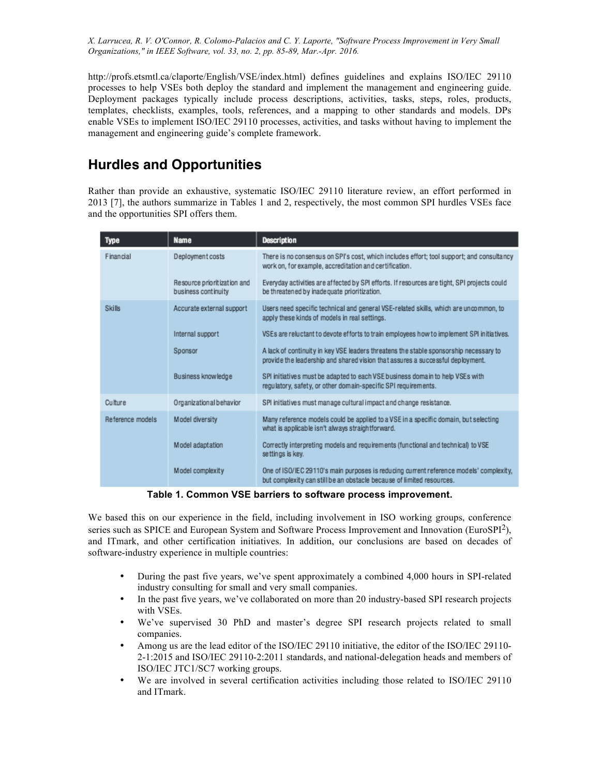http://profs.etsmtl.ca/claporte/English/VSE/index.html) defines guidelines and explains ISO/IEC 29110 processes to help VSEs both deploy the standard and implement the management and engineering guide. Deployment packages typically include process descriptions, activities, tasks, steps, roles, products, templates, checklists, examples, tools, references, and a mapping to other standards and models. DPs enable VSEs to implement ISO/IEC 29110 processes, activities, and tasks without having to implement the management and engineering guide's complete framework.

## **Hurdles and Opportunities**

Rather than provide an exhaustive, systematic ISO/IEC 29110 literature review, an effort performed in 2013 [7], the authors summarize in Tables 1 and 2, respectively, the most common SPI hurdles VSEs face and the opportunities SPI offers them.

| <b>Type</b>      | <b>Name</b>                                        | <b>Description</b>                                                                                                                                                      |
|------------------|----------------------------------------------------|-------------------------------------------------------------------------------------------------------------------------------------------------------------------------|
| Financial        | Deployment costs                                   | There is no consensus on SPI's cost, which includes effort; tool support; and consultancy<br>work on, for example, accreditation and certification.                     |
|                  | Resource prioritization and<br>business continuity | Everyday activities are affected by SPI efforts. If resources are tight, SPI projects could<br>be threatened by inadequate prioritization.                              |
| <b>Skills</b>    | Accurate external support                          | Users need specific technical and general VSE-related skills, which are uncommon, to<br>apply these kinds of models in real settings.                                   |
|                  | Internal support                                   | VSEs are reluctant to devote efforts to train employees how to implement SPI initiatives.                                                                               |
|                  | Sponsor                                            | A lack of continuity in key VSE leaders threatens the stable sponsorship necessary to<br>provide the leadership and shared vision that assures a successful deployment. |
|                  | Business knowledge                                 | SPI initiatives must be adapted to each VSE business domain to help VSEs with<br>regulatory, safety, or other domain-specific SPI regulrements.                         |
| Culture          | Organizational behavior                            | SPI initiatives must manage cultural impact and change resistance.                                                                                                      |
| Reference models | Model diversity                                    | Many reference models could be applied to a VSE in a specific domain, but selecting<br>what is applicable isn't always straightforward.                                 |
|                  | Model adaptation                                   | Correctly interpreting models and requirements (functional and technical) to VSE<br>settings is key.                                                                    |
|                  | Model complexity                                   | One of ISO/IEC 29110's main purposes is reducing current reference models' complexity,<br>but complexity can still be an obstacle because of limited resources.         |

**Table 1. Common VSE barriers to software process improvement.**

We based this on our experience in the field, including involvement in ISO working groups, conference series such as SPICE and European System and Software Process Improvement and Innovation (EuroSPI2), and ITmark, and other certification initiatives. In addition, our conclusions are based on decades of software-industry experience in multiple countries:

- During the past five years, we've spent approximately a combined 4,000 hours in SPI-related industry consulting for small and very small companies.
- In the past five years, we've collaborated on more than 20 industry-based SPI research projects with VSEs.
- We've supervised 30 PhD and master's degree SPI research projects related to small companies.
- Among us are the lead editor of the ISO/IEC 29110 initiative, the editor of the ISO/IEC 29110- 2-1:2015 and ISO/IEC 29110-2:2011 standards, and national-delegation heads and members of ISO/IEC JTC1/SC7 working groups.
- We are involved in several certification activities including those related to ISO/IEC 29110 and ITmark.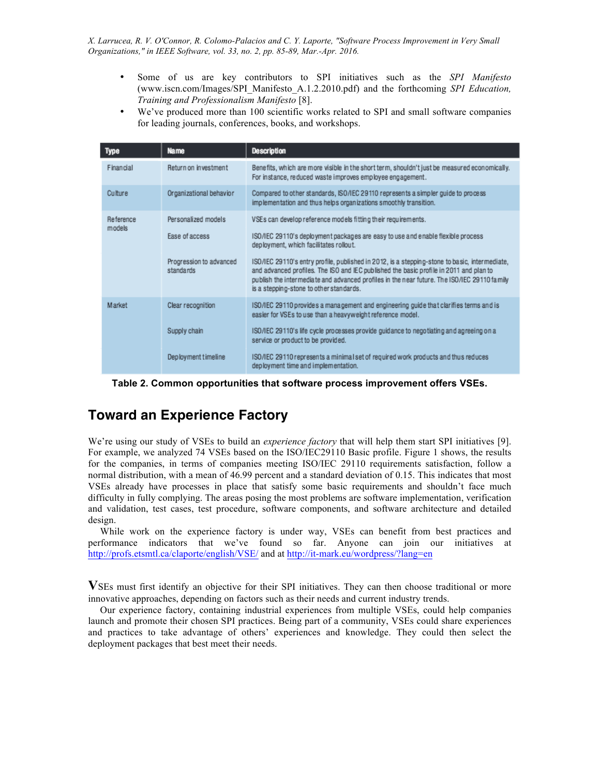- Some of us are key contributors to SPI initiatives such as the *SPI Manifesto* (www.iscn.com/Images/SPI\_Manifesto\_A.1.2.2010.pdf) and the forthcoming *SPI Education, Training and Professionalism Manifesto* [8].
- We've produced more than 100 scientific works related to SPI and small software companies for leading journals, conferences, books, and workshops.

| <b>Type</b>         | <b>Name</b>                          | <b>Description</b>                                                                                                                                                                                                                                                                                                                |
|---------------------|--------------------------------------|-----------------------------------------------------------------------------------------------------------------------------------------------------------------------------------------------------------------------------------------------------------------------------------------------------------------------------------|
| Financial           | Return on investment                 | Benefits, which are more visible in the short term, shouldn't just be measured economically.<br>For instance, reduced waste improves employee engagement.                                                                                                                                                                         |
| Culture             | Organizational behavior              | Compared to other standards, ISO/IEC 29110 represents a simpler guide to process<br>implementation and thus helps organizations smoothly transition.                                                                                                                                                                              |
| Reference<br>models | Personalized models                  | VSEs can develop reference models fitting their requirements.                                                                                                                                                                                                                                                                     |
|                     | Ease of access                       | ISO/IEC 29110's deployment packages are easy to use and enable flexible process<br>deployment, which facilitates rollout.                                                                                                                                                                                                         |
|                     | Progression to advanced<br>standards | ISO/IEC 29110's entry profile, published in 2012, is a stepping-stone to basic, intermediate,<br>and advanced profiles. The ISO and IEC published the basic profile in 2011 and plan to<br>publish the intermediate and advanced profiles in the near future. The ISO/IEC 29110 family<br>is a stepping-stone to other standards. |
| Market              | Clear recognition                    | ISO/IEC 29110 provides a management and engineering guide that clarifies terms and is<br>easier for VSEs to use than a heavyweight reference model.                                                                                                                                                                               |
|                     | Supply chain                         | ISO/IEC 29110's life cycle processes provide guidance to negotiating and agreeing on a<br>service or product to be provided.                                                                                                                                                                                                      |
|                     | Deployment timeline                  | ISO/IEC 29110 represents a minimal set of required work products and thus reduces<br>deployment time and implementation.                                                                                                                                                                                                          |

**Table 2. Common opportunities that software process improvement offers VSEs.**

### **Toward an Experience Factory**

We're using our study of VSEs to build an *experience factory* that will help them start SPI initiatives [9]. For example, we analyzed 74 VSEs based on the ISO/IEC29110 Basic profile. Figure 1 shows, the results for the companies, in terms of companies meeting ISO/IEC 29110 requirements satisfaction, follow a normal distribution, with a mean of 46.99 percent and a standard deviation of 0.15. This indicates that most VSEs already have processes in place that satisfy some basic requirements and shouldn't face much difficulty in fully complying. The areas posing the most problems are software implementation, verification and validation, test cases, test procedure, software components, and software architecture and detailed design.

While work on the experience factory is under way, VSEs can benefit from best practices and performance indicators that we've found so far. Anyone can join our initiatives at http://profs.etsmtl.ca/claporte/english/VSE/ and at http://it-mark.eu/wordpress/?lang=en

**V**SEs must first identify an objective for their SPI initiatives. They can then choose traditional or more innovative approaches, depending on factors such as their needs and current industry trends.

Our experience factory, containing industrial experiences from multiple VSEs, could help companies launch and promote their chosen SPI practices. Being part of a community, VSEs could share experiences and practices to take advantage of others' experiences and knowledge. They could then select the deployment packages that best meet their needs.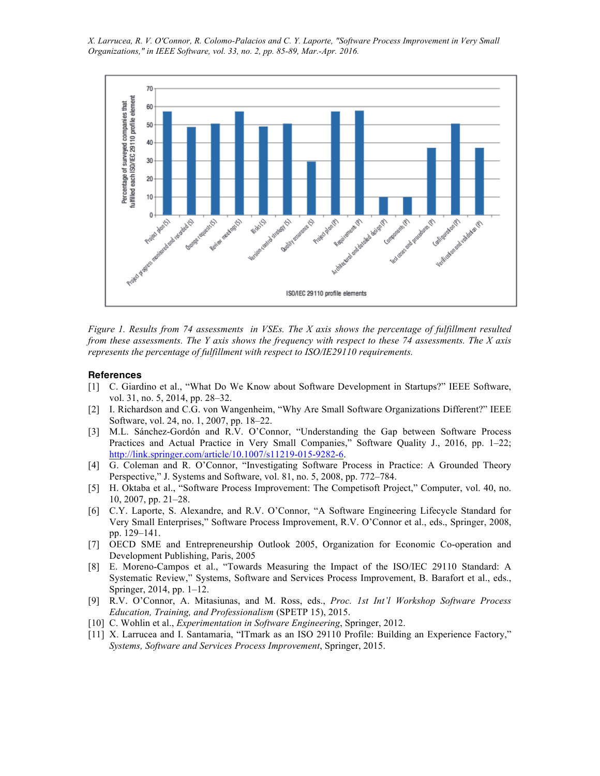

*Figure 1. Results from 74 assessments in VSEs. The X axis shows the percentage of fulfillment resulted from these assessments. The Y axis shows the frequency with respect to these 74 assessments. The X axis represents the percentage of fulfillment with respect to ISO/IE29110 requirements.* 

#### **References**

- [1] C. Giardino et al., "What Do We Know about Software Development in Startups?" IEEE Software, vol. 31, no. 5, 2014, pp. 28–32.
- [2] I. Richardson and C.G. von Wangenheim, "Why Are Small Software Organizations Different?" IEEE Software, vol. 24, no. 1, 2007, pp. 18–22.
- [3] M.L. Sánchez-Gordón and R.V. O'Connor, "Understanding the Gap between Software Process Practices and Actual Practice in Very Small Companies," Software Quality J., 2016, pp. 1–22; http://link.springer.com/article/10.1007/s11219-015-9282-6.
- [4] G. Coleman and R. O'Connor, "Investigating Software Process in Practice: A Grounded Theory Perspective," J. Systems and Software, vol. 81, no. 5, 2008, pp. 772–784.
- [5] H. Oktaba et al., "Software Process Improvement: The Competisoft Project," Computer, vol. 40, no. 10, 2007, pp. 21–28.
- [6] C.Y. Laporte, S. Alexandre, and R.V. O'Connor, "A Software Engineering Lifecycle Standard for Very Small Enterprises," Software Process Improvement, R.V. O'Connor et al., eds., Springer, 2008, pp. 129–141.
- [7] OECD SME and Entrepreneurship Outlook 2005, Organization for Economic Co-operation and Development Publishing, Paris, 2005
- [8] E. Moreno-Campos et al., "Towards Measuring the Impact of the ISO/IEC 29110 Standard: A Systematic Review," Systems, Software and Services Process Improvement, B. Barafort et al., eds., Springer, 2014, pp. 1–12.
- [9] R.V. O'Connor, A. Mitasiunas, and M. Ross, eds., *Proc. 1st Int'l Workshop Software Process Education, Training, and Professionalism* (SPETP 15), 2015.
- [10] C. Wohlin et al., *Experimentation in Software Engineering*, Springer, 2012.
- [11] X. Larrucea and I. Santamaria, "ITmark as an ISO 29110 Profile: Building an Experience Factory," *Systems, Software and Services Process Improvement*, Springer, 2015.